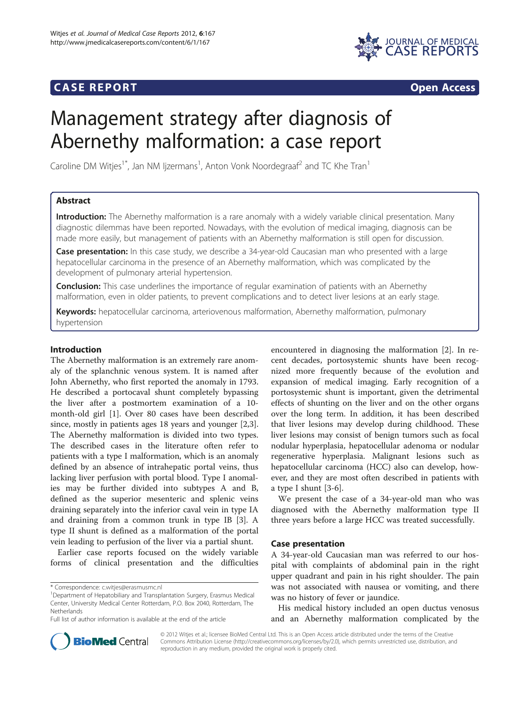## **CASE REPORT CASE REPORT**



# Management strategy after diagnosis of Abernethy malformation: a case report

Caroline DM Witjes<sup>1\*</sup>, Jan NM Ijzermans<sup>1</sup>, Anton Vonk Noordegraaf<sup>2</sup> and TC Khe Tran<sup>1</sup>

## Abstract

Introduction: The Abernethy malformation is a rare anomaly with a widely variable clinical presentation. Many diagnostic dilemmas have been reported. Nowadays, with the evolution of medical imaging, diagnosis can be made more easily, but management of patients with an Abernethy malformation is still open for discussion.

**Case presentation:** In this case study, we describe a 34-year-old Caucasian man who presented with a large hepatocellular carcinoma in the presence of an Abernethy malformation, which was complicated by the development of pulmonary arterial hypertension.

**Conclusion:** This case underlines the importance of regular examination of patients with an Abernethy malformation, even in older patients, to prevent complications and to detect liver lesions at an early stage.

Keywords: hepatocellular carcinoma, arteriovenous malformation, Abernethy malformation, pulmonary hypertension

## Introduction

The Abernethy malformation is an extremely rare anomaly of the splanchnic venous system. It is named after John Abernethy, who first reported the anomaly in 1793. He described a portocaval shunt completely bypassing the liver after a postmortem examination of a 10 month-old girl [[1\]](#page-3-0). Over 80 cases have been described since, mostly in patients ages 18 years and younger [\[2,3](#page-3-0)]. The Abernethy malformation is divided into two types. The described cases in the literature often refer to patients with a type I malformation, which is an anomaly defined by an absence of intrahepatic portal veins, thus lacking liver perfusion with portal blood. Type I anomalies may be further divided into subtypes A and B, defined as the superior mesenteric and splenic veins draining separately into the inferior caval vein in type IA and draining from a common trunk in type IB [[3\]](#page-3-0). A type II shunt is defined as a malformation of the portal vein leading to perfusion of the liver via a partial shunt.

Earlier case reports focused on the widely variable forms of clinical presentation and the difficulties encountered in diagnosing the malformation [[2\]](#page-3-0). In recent decades, portosystemic shunts have been recognized more frequently because of the evolution and expansion of medical imaging. Early recognition of a portosystemic shunt is important, given the detrimental effects of shunting on the liver and on the other organs over the long term. In addition, it has been described that liver lesions may develop during childhood. These liver lesions may consist of benign tumors such as focal nodular hyperplasia, hepatocellular adenoma or nodular regenerative hyperplasia. Malignant lesions such as hepatocellular carcinoma (HCC) also can develop, however, and they are most often described in patients with a type I shunt [\[3](#page-3-0)-[6\]](#page-3-0).

We present the case of a 34-year-old man who was diagnosed with the Abernethy malformation type II three years before a large HCC was treated successfully.

## Case presentation

A 34-year-old Caucasian man was referred to our hospital with complaints of abdominal pain in the right upper quadrant and pain in his right shoulder. The pain was not associated with nausea or vomiting, and there was no history of fever or jaundice.

His medical history included an open ductus venosus and an Abernethy malformation complicated by the



© 2012 Witjes et al.; licensee BioMed Central Ltd. This is an Open Access article distributed under the terms of the Creative Commons Attribution License [\(http://creativecommons.org/licenses/by/2.0\)](http://creativecommons.org/licenses/by/2.0), which permits unrestricted use, distribution, and reproduction in any medium, provided the original work is properly cited.

<sup>\*</sup> Correspondence: [c.witjes@erasmusmc.nl](mailto:c.witjes@erasmusmc.nl) <sup>1</sup>

Department of Hepatobiliary and Transplantation Surgery, Erasmus Medical Center, University Medical Center Rotterdam, P.O. Box 2040, Rotterdam, The Netherlands

Full list of author information is available at the end of the article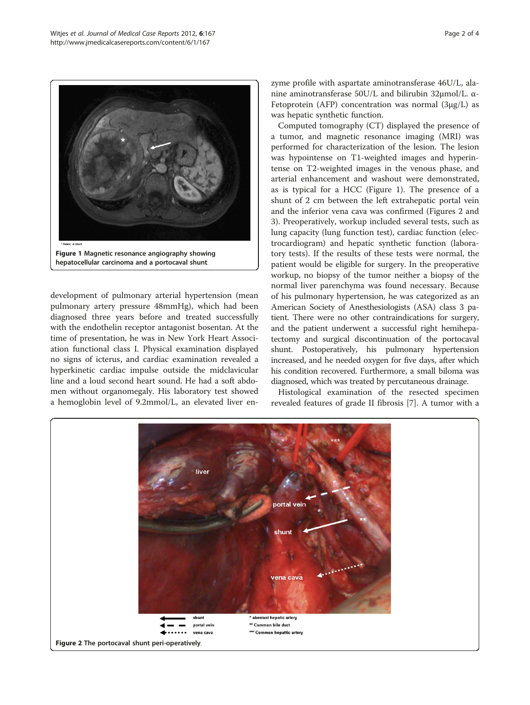

development of pulmonary arterial hypertension (mean pulmonary artery pressure 48mmHg), which had been diagnosed three years before and treated successfully with the endothelin receptor antagonist bosentan. At the time of presentation, he was in New York Heart Association functional class I. Physical examination displayed no signs of icterus, and cardiac examination revealed a hyperkinetic cardiac impulse outside the midclavicular line and a loud second heart sound. He had a soft abdomen without organomegaly. His laboratory test showed a hemoglobin level of 9.2mmol/L, an elevated liver enzyme profile with aspartate aminotransferase 46U/L, alanine aminotransferase 50U/L and bilirubin 32μmol/L. α-Fetoprotein (AFP) concentration was normal (3μg/L) as was hepatic synthetic function.

Computed tomography (CT) displayed the presence of a tumor, and magnetic resonance imaging (MRI) was performed for characterization of the lesion. The lesion was hypointense on T1-weighted images and hyperintense on T2-weighted images in the venous phase, and arterial enhancement and washout were demonstrated, as is typical for a HCC (Figure 1). The presence of a shunt of 2 cm between the left extrahepatic portal vein and the inferior vena cava was confirmed (Figures 2 and [3\)](#page-2-0). Preoperatively, workup included several tests, such as lung capacity (lung function test), cardiac function (electrocardiogram) and hepatic synthetic function (laboratory tests). If the results of these tests were normal, the patient would be eligible for surgery. In the preoperative workup, no biopsy of the tumor neither a biopsy of the normal liver parenchyma was found necessary. Because of his pulmonary hypertension, he was categorized as an American Society of Anesthesiologists (ASA) class 3 patient. There were no other contraindications for surgery, and the patient underwent a successful right hemihepatectomy and surgical discontinuation of the portocaval shunt. Postoperatively, his pulmonary hypertension increased, and he needed oxygen for five days, after which his condition recovered. Furthermore, a small biloma was diagnosed, which was treated by percutaneous drainage.

Histological examination of the resected specimen revealed features of grade II fibrosis [\[7](#page-3-0)]. A tumor with a

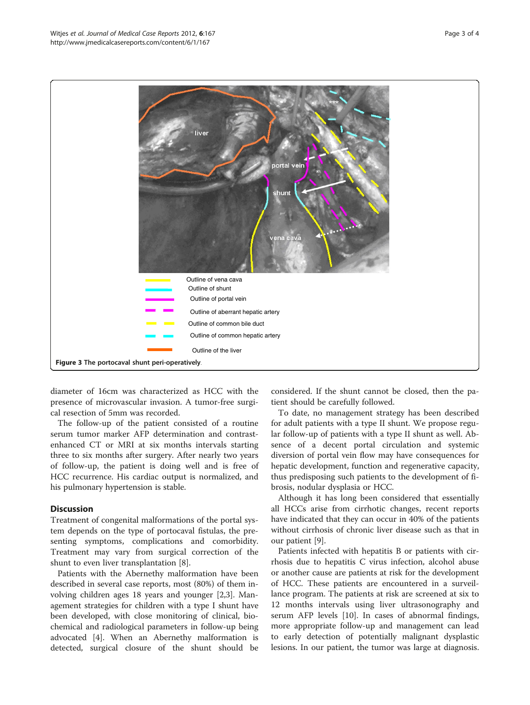<span id="page-2-0"></span>

diameter of 16cm was characterized as HCC with the presence of microvascular invasion. A tumor-free surgical resection of 5mm was recorded.

The follow-up of the patient consisted of a routine serum tumor marker AFP determination and contrastenhanced CT or MRI at six months intervals starting three to six months after surgery. After nearly two years of follow-up, the patient is doing well and is free of HCC recurrence. His cardiac output is normalized, and his pulmonary hypertension is stable.

## **Discussion**

Treatment of congenital malformations of the portal system depends on the type of portocaval fistulas, the presenting symptoms, complications and comorbidity. Treatment may vary from surgical correction of the shunt to even liver transplantation [\[8](#page-3-0)].

Patients with the Abernethy malformation have been described in several case reports, most (80%) of them involving children ages 18 years and younger [[2,3\]](#page-3-0). Management strategies for children with a type I shunt have been developed, with close monitoring of clinical, biochemical and radiological parameters in follow-up being advocated [\[4](#page-3-0)]. When an Abernethy malformation is detected, surgical closure of the shunt should be considered. If the shunt cannot be closed, then the patient should be carefully followed.

To date, no management strategy has been described for adult patients with a type II shunt. We propose regular follow-up of patients with a type II shunt as well. Absence of a decent portal circulation and systemic diversion of portal vein flow may have consequences for hepatic development, function and regenerative capacity, thus predisposing such patients to the development of fibrosis, nodular dysplasia or HCC.

Although it has long been considered that essentially all HCCs arise from cirrhotic changes, recent reports have indicated that they can occur in 40% of the patients without cirrhosis of chronic liver disease such as that in our patient [\[9](#page-3-0)].

Patients infected with hepatitis B or patients with cirrhosis due to hepatitis C virus infection, alcohol abuse or another cause are patients at risk for the development of HCC. These patients are encountered in a surveillance program. The patients at risk are screened at six to 12 months intervals using liver ultrasonography and serum AFP levels [[10\]](#page-3-0). In cases of abnormal findings, more appropriate follow-up and management can lead to early detection of potentially malignant dysplastic lesions. In our patient, the tumor was large at diagnosis.